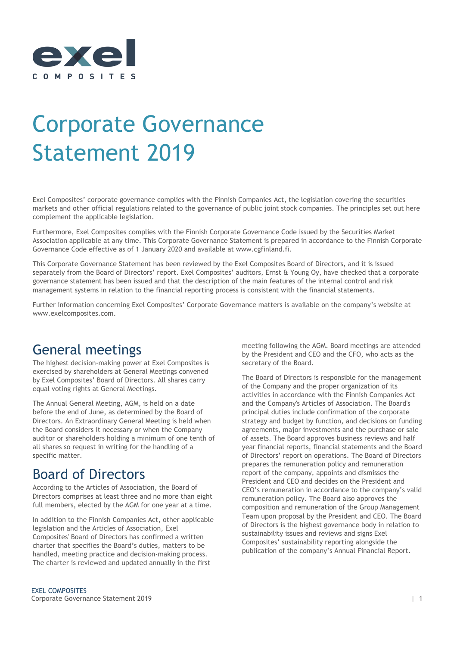

# Corporate Governance Statement 2019

Exel Composites' corporate governance complies with the Finnish Companies Act, the legislation covering the securities markets and other official regulations related to the governance of public joint stock companies. The principles set out here complement the applicable legislation.

Furthermore, Exel Composites complies with the Finnish Corporate Governance Code issued by the Securities Market Association applicable at any time. This Corporate Governance Statement is prepared in accordance to the Finnish Corporate Governance Code effective as of 1 January 2020 and available at www.cgfinland.fi.

This Corporate Governance Statement has been reviewed by the Exel Composites Board of Directors, and it is issued separately from the Board of Directors' report. Exel Composites' auditors, Ernst & Young Oy, have checked that a corporate governance statement has been issued and that the description of the main features of the internal control and risk management systems in relation to the financial reporting process is consistent with the financial statements.

Further information concerning Exel Composites' Corporate Governance matters is available on the company's website at www.exelcomposites.com.

# General meetings

The highest decision-making power at Exel Composites is exercised by shareholders at General Meetings convened by Exel Composites' Board of Directors. All shares carry equal voting rights at General Meetings.

The Annual General Meeting, AGM, is held on a date before the end of June, as determined by the Board of Directors. An Extraordinary General Meeting is held when the Board considers it necessary or when the Company auditor or shareholders holding a minimum of one tenth of all shares so request in writing for the handling of a specific matter.

# Board of Directors

According to the Articles of Association, the Board of Directors comprises at least three and no more than eight full members, elected by the AGM for one year at a time.

In addition to the Finnish Companies Act, other applicable legislation and the Articles of Association, Exel Composites' Board of Directors has confirmed a written charter that specifies the Board's duties, matters to be handled, meeting practice and decision-making process. The charter is reviewed and updated annually in the first

meeting following the AGM. Board meetings are attended by the President and CEO and the CFO, who acts as the secretary of the Board.

The Board of Directors is responsible for the management of the Company and the proper organization of its activities in accordance with the Finnish Companies Act and the Company's Articles of Association. The Board's principal duties include confirmation of the corporate strategy and budget by function, and decisions on funding agreements, major investments and the purchase or sale of assets. The Board approves business reviews and half year financial reports, financial statements and the Board of Directors' report on operations. The Board of Directors prepares the remuneration policy and remuneration report of the company, appoints and dismisses the President and CEO and decides on the President and CEO's remuneration in accordance to the company's valid remuneration policy. The Board also approves the composition and remuneration of the Group Management Team upon proposal by the President and CEO. The Board of Directors is the highest governance body in relation to sustainability issues and reviews and signs Exel Composites' sustainability reporting alongside the publication of the company's Annual Financial Report.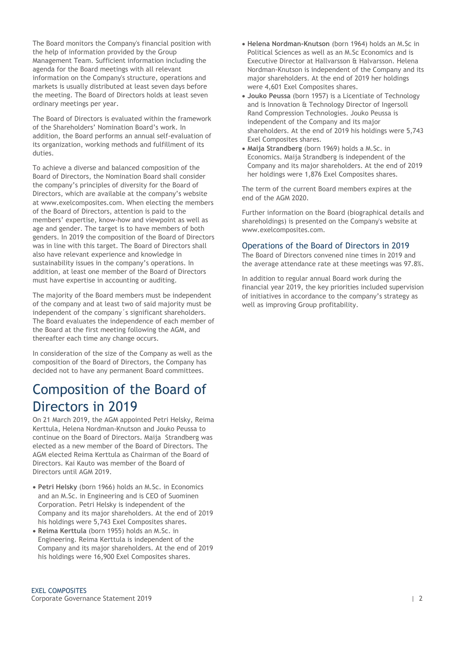The Board monitors the Company's financial position with the help of information provided by the Group Management Team. Sufficient information including the agenda for the Board meetings with all relevant information on the Company's structure, operations and markets is usually distributed at least seven days before the meeting. The Board of Directors holds at least seven ordinary meetings per year.

The Board of Directors is evaluated within the framework of the Shareholders' Nomination Board's work. In addition, the Board performs an annual self-evaluation of its organization, working methods and fulfillment of its duties.

To achieve a diverse and balanced composition of the Board of Directors, the Nomination Board shall consider the company's principles of diversity for the Board of Directors, which are available at the company's website at www.exelcomposites.com. When electing the members of the Board of Directors, attention is paid to the members' expertise, know-how and viewpoint as well as age and gender. The target is to have members of both genders. In 2019 the composition of the Board of Directors was in line with this target. The Board of Directors shall also have relevant experience and knowledge in sustainability issues in the company's operations. In addition, at least one member of the Board of Directors must have expertise in accounting or auditing.

The majority of the Board members must be independent of the company and at least two of said majority must be independent of the company´s significant shareholders. The Board evaluates the independence of each member of the Board at the first meeting following the AGM, and thereafter each time any change occurs.

In consideration of the size of the Company as well as the composition of the Board of Directors, the Company has decided not to have any permanent Board committees.

# Composition of the Board of Directors in 2019

On 21 March 2019, the AGM appointed Petri Helsky, Reima Kerttula, Helena Nordman-Knutson and Jouko Peussa to continue on the Board of Directors. Maija Strandberg was elected as a new member of the Board of Directors. The AGM elected Reima Kerttula as Chairman of the Board of Directors. Kai Kauto was member of the Board of Directors until AGM 2019.

- **Petri Helsky** (born 1966) holds an M.Sc. in Economics and an M.Sc. in Engineering and is CEO of Suominen Corporation. Petri Helsky is independent of the Company and its major shareholders. At the end of 2019 his holdings were 5,743 Exel Composites shares.
- **Reima Kerttula** (born 1955) holds an M.Sc. in Engineering. Reima Kerttula is independent of the Company and its major shareholders. At the end of 2019 his holdings were 16,900 Exel Composites shares.
- **Helena Nordman-Knutson** (born 1964) holds an M.Sc in Political Sciences as well as an M.Sc Economics and is Executive Director at Hallvarsson & Halvarsson. Helena Nordman-Knutson is independent of the Company and its major shareholders. At the end of 2019 her holdings were 4,601 Exel Composites shares.
- **Jouko Peussa** (born 1957) is a Licentiate of Technology and is Innovation & Technology Director of Ingersoll Rand Compression Technologies. Jouko Peussa is independent of the Company and its major shareholders. At the end of 2019 his holdings were 5,743 Exel Composites shares.
- **Maija Strandberg** (born 1969) holds a M.Sc. in Economics. Maija Strandberg is independent of the Company and its major shareholders. At the end of 2019 her holdings were 1,876 Exel Composites shares.

The term of the current Board members expires at the end of the AGM 2020.

Further information on the Board (biographical details and shareholdings) is presented on the Company's website at www.exelcomposites.com.

#### Operations of the Board of Directors in 2019

The Board of Directors convened nine times in 2019 and the average attendance rate at these meetings was 97.8%.

In addition to regular annual Board work during the financial year 2019, the key priorities included supervision of initiatives in accordance to the company's strategy as well as improving Group profitability.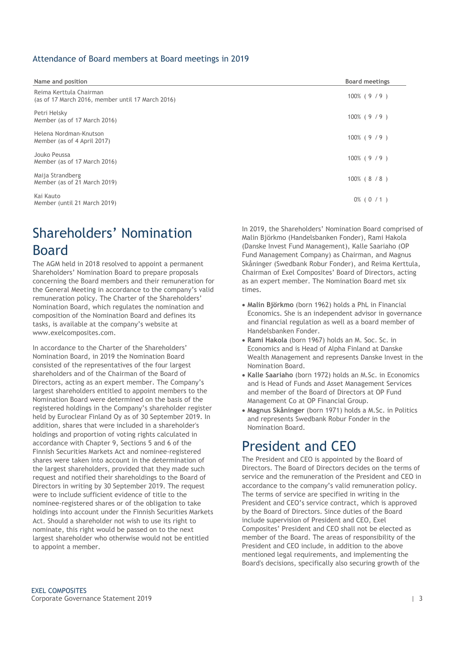### Attendance of Board members at Board meetings in 2019

| Name and position                                                            | <b>Board meetings</b> |
|------------------------------------------------------------------------------|-----------------------|
| Reima Kerttula Chairman<br>(as of 17 March 2016, member until 17 March 2016) | $100\%$ (9/9)         |
| Petri Helsky<br>Member (as of 17 March 2016)                                 | $100\%$ (9/9)         |
| Helena Nordman-Knutson<br>Member (as of 4 April 2017)                        | $100\%$ (9/9)         |
| Jouko Peussa<br>Member (as of 17 March 2016)                                 | $100\%$ (9/9)         |
| Maija Strandberg<br>Member (as of 21 March 2019)                             | $100\%$ (8/8)         |
| Kai Kauto<br>Member (until 21 March 2019)                                    | $0\%$ (0 / 1)         |

# Shareholders' Nomination Board

The AGM held in 2018 resolved to appoint a permanent Shareholders' Nomination Board to prepare proposals concerning the Board members and their remuneration for the General Meeting in accordance to the company's valid remuneration policy. The Charter of the Shareholders' Nomination Board, which regulates the nomination and composition of the Nomination Board and defines its tasks, is available at the company's website at www.exelcomposites.com.

In accordance to the Charter of the Shareholders' Nomination Board, in 2019 the Nomination Board consisted of the representatives of the four largest shareholders and of the Chairman of the Board of Directors, acting as an expert member. The Company's largest shareholders entitled to appoint members to the Nomination Board were determined on the basis of the registered holdings in the Company's shareholder register held by Euroclear Finland Oy as of 30 September 2019. In addition, shares that were included in a shareholder's holdings and proportion of voting rights calculated in accordance with Chapter 9, Sections 5 and 6 of the Finnish Securities Markets Act and nominee-registered shares were taken into account in the determination of the largest shareholders, provided that they made such request and notified their shareholdings to the Board of Directors in writing by 30 September 2019. The request were to include sufficient evidence of title to the nominee-registered shares or of the obligation to take holdings into account under the Finnish Securities Markets Act. Should a shareholder not wish to use its right to nominate, this right would be passed on to the next largest shareholder who otherwise would not be entitled to appoint a member.

In 2019, the Shareholders' Nomination Board comprised of Malin Björkmo (Handelsbanken Fonder), Rami Hakola (Danske Invest Fund Management), Kalle Saariaho (OP Fund Management Company) as Chairman, and Magnus Skåninger (Swedbank Robur Fonder), and Reima Kerttula, Chairman of Exel Composites' Board of Directors, acting as an expert member. The Nomination Board met six times.

- **Malin Björkmo** (born 1962) holds a PhL in Financial Economics. She is an independent advisor in governance and financial regulation as well as a board member of Handelsbanken Fonder.
- **Rami Hakola** (born 1967) holds an M. Soc. Sc. in Economics and is Head of Alpha Finland at Danske Wealth Management and represents Danske Invest in the Nomination Board.
- **Kalle Saariaho** (born 1972) holds an M.Sc. in Economics and is Head of Funds and Asset Management Services and member of the Board of Directors at OP Fund Management Co at OP Financial Group.
- **Magnus Skåninger** (born 1971) holds a M.Sc. in Politics and represents Swedbank Robur Fonder in the Nomination Board.

# President and CEO

The President and CEO is appointed by the Board of Directors. The Board of Directors decides on the terms of service and the remuneration of the President and CEO in accordance to the company's valid remuneration policy. The terms of service are specified in writing in the President and CEO's service contract, which is approved by the Board of Directors. Since duties of the Board include supervision of President and CEO, Exel Composites' President and CEO shall not be elected as member of the Board. The areas of responsibility of the President and CEO include, in addition to the above mentioned legal requirements, and implementing the Board's decisions, specifically also securing growth of the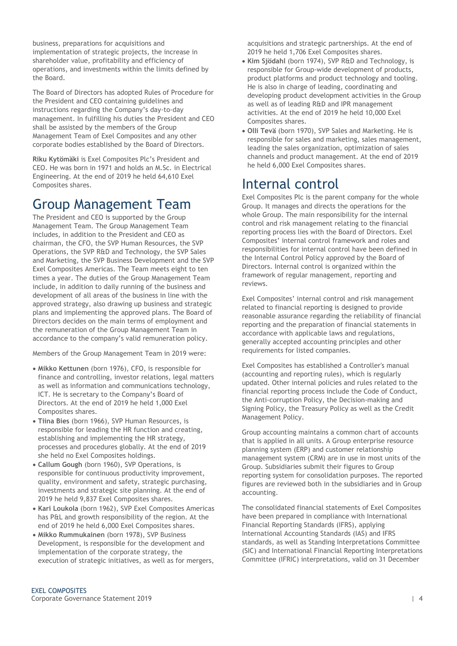business, preparations for acquisitions and implementation of strategic projects, the increase in shareholder value, profitability and efficiency of operations, and investments within the limits defined by the Board.

The Board of Directors has adopted Rules of Procedure for the President and CEO containing guidelines and instructions regarding the Company's day-to-day management. In fulfilling his duties the President and CEO shall be assisted by the members of the Group Management Team of Exel Composites and any other corporate bodies established by the Board of Directors.

**Riku Kytömäki** is Exel Composites Plc's President and CEO. He was born in 1971 and holds an M.Sc. in Electrical Engineering. At the end of 2019 he held 64,610 Exel Composites shares.

### Group Management Team

The President and CEO is supported by the Group Management Team. The Group Management Team includes, in addition to the President and CEO as chairman, the CFO, the SVP Human Resources, the SVP Operations, the SVP R&D and Technology, the SVP Sales and Marketing, the SVP Business Development and the SVP Exel Composites Americas. The Team meets eight to ten times a year. The duties of the Group Management Team include, in addition to daily running of the business and development of all areas of the business in line with the approved strategy, also drawing up business and strategic plans and implementing the approved plans. The Board of Directors decides on the main terms of employment and the remuneration of the Group Management Team in accordance to the company's valid remuneration policy.

Members of the Group Management Team in 2019 were:

- **Mikko Kettunen** (born 1976), CFO, is responsible for finance and controlling, investor relations, legal matters as well as information and communications technology, ICT. He is secretary to the Company's Board of Directors. At the end of 2019 he held 1,000 Exel Composites shares.
- **Tiina Bies** (born 1966), SVP Human Resources, is responsible for leading the HR function and creating, establishing and implementing the HR strategy, processes and procedures globally. At the end of 2019 she held no Exel Composites holdings.
- **Callum Gough** (born 1960), SVP Operations, is responsible for continuous productivity improvement, quality, environment and safety, strategic purchasing, investments and strategic site planning. At the end of 2019 he held 9,837 Exel Composites shares.
- **Kari Loukola** (born 1962), SVP Exel Composites Americas has P&L and growth responsibility of the region. At the end of 2019 he held 6,000 Exel Composites shares.
- **Mikko Rummukainen** (born 1978), SVP Business Development, is responsible for the development and implementation of the corporate strategy, the execution of strategic initiatives, as well as for mergers,

acquisitions and strategic partnerships. At the end of 2019 he held 1,706 Exel Composites shares.

- **Kim Sjödahl** (born 1974), SVP R&D and Technology, is responsible for Group-wide development of products, product platforms and product technology and tooling. He is also in charge of leading, coordinating and developing product development activities in the Group as well as of leading R&D and IPR management activities. At the end of 2019 he held 10,000 Exel Composites shares.
- **Olli Tevä** (born 1970), SVP Sales and Marketing. He is responsible for sales and marketing, sales management, leading the sales organization, optimization of sales channels and product management. At the end of 2019 he held 6,000 Exel Composites shares.

### Internal control

Exel Composites Plc is the parent company for the whole Group. It manages and directs the operations for the whole Group. The main responsibility for the internal control and risk management relating to the financial reporting process lies with the Board of Directors. Exel Composites' internal control framework and roles and responsibilities for internal control have been defined in the Internal Control Policy approved by the Board of Directors. Internal control is organized within the framework of regular management, reporting and reviews.

Exel Composites' internal control and risk management related to financial reporting is designed to provide reasonable assurance regarding the reliability of financial reporting and the preparation of financial statements in accordance with applicable laws and regulations, generally accepted accounting principles and other requirements for listed companies.

Exel Composites has established a Controller's manual (accounting and reporting rules), which is regularly updated. Other internal policies and rules related to the financial reporting process include the Code of Conduct, the Anti-corruption Policy, the Decision-making and Signing Policy, the Treasury Policy as well as the Credit Management Policy.

Group accounting maintains a common chart of accounts that is applied in all units. A Group enterprise resource planning system (ERP) and customer relationship management system (CRM) are in use in most units of the Group. Subsidiaries submit their figures to Group reporting system for consolidation purposes. The reported figures are reviewed both in the subsidiaries and in Group accounting.

The consolidated financial statements of Exel Composites have been prepared in compliance with International Financial Reporting Standards (IFRS), applying International Accounting Standards (IAS) and IFRS standards, as well as Standing Interpretations Committee (SIC) and International Financial Reporting Interpretations Committee (IFRIC) interpretations, valid on 31 December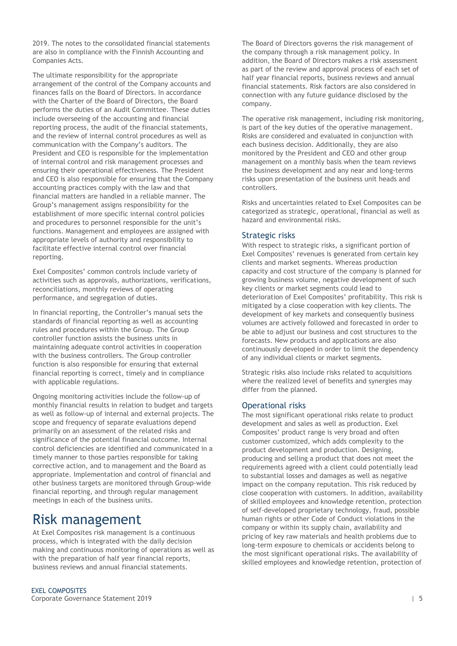2019. The notes to the consolidated financial statements are also in compliance with the Finnish Accounting and Companies Acts.

The ultimate responsibility for the appropriate arrangement of the control of the Company accounts and finances falls on the Board of Directors. In accordance with the Charter of the Board of Directors, the Board performs the duties of an Audit Committee. These duties include overseeing of the accounting and financial reporting process, the audit of the financial statements, and the review of internal control procedures as well as communication with the Company's auditors. The President and CEO is responsible for the implementation of internal control and risk management processes and ensuring their operational effectiveness. The President and CEO is also responsible for ensuring that the Company accounting practices comply with the law and that financial matters are handled in a reliable manner. The Group's management assigns responsibility for the establishment of more specific internal control policies and procedures to personnel responsible for the unit's functions. Management and employees are assigned with appropriate levels of authority and responsibility to facilitate effective internal control over financial reporting.

Exel Composites' common controls include variety of activities such as approvals, authorizations, verifications, reconciliations, monthly reviews of operating performance, and segregation of duties.

In financial reporting, the Controller's manual sets the standards of financial reporting as well as accounting rules and procedures within the Group. The Group controller function assists the business units in maintaining adequate control activities in cooperation with the business controllers. The Group controller function is also responsible for ensuring that external financial reporting is correct, timely and in compliance with applicable regulations.

Ongoing monitoring activities include the follow-up of monthly financial results in relation to budget and targets as well as follow-up of internal and external projects. The scope and frequency of separate evaluations depend primarily on an assessment of the related risks and significance of the potential financial outcome. Internal control deficiencies are identified and communicated in a timely manner to those parties responsible for taking corrective action, and to management and the Board as appropriate. Implementation and control of financial and other business targets are monitored through Group-wide financial reporting, and through regular management meetings in each of the business units.

### Risk management

At Exel Composites risk management is a continuous process, which is integrated with the daily decision making and continuous monitoring of operations as well as with the preparation of half year financial reports, business reviews and annual financial statements.

The Board of Directors governs the risk management of the company through a risk management policy. In addition, the Board of Directors makes a risk assessment as part of the review and approval process of each set of half year financial reports, business reviews and annual financial statements. Risk factors are also considered in connection with any future guidance disclosed by the company.

The operative risk management, including risk monitoring, is part of the key duties of the operative management. Risks are considered and evaluated in conjunction with each business decision. Additionally, they are also monitored by the President and CEO and other group management on a monthly basis when the team reviews the business development and any near and long-terms risks upon presentation of the business unit heads and controllers.

Risks and uncertainties related to Exel Composites can be categorized as strategic, operational, financial as well as hazard and environmental risks.

### Strategic risks

With respect to strategic risks, a significant portion of Exel Composites' revenues is generated from certain key clients and market segments. Whereas production capacity and cost structure of the company is planned for growing business volume, negative development of such key clients or market segments could lead to deterioration of Exel Composites' profitability. This risk is mitigated by a close cooperation with key clients. The development of key markets and consequently business volumes are actively followed and forecasted in order to be able to adjust our business and cost structures to the forecasts. New products and applications are also continuously developed in order to limit the dependency of any individual clients or market segments.

Strategic risks also include risks related to acquisitions where the realized level of benefits and synergies may differ from the planned.

#### Operational risks

The most significant operational risks relate to product development and sales as well as production. Exel Composites' product range is very broad and often customer customized, which adds complexity to the product development and production. Designing, producing and selling a product that does not meet the requirements agreed with a client could potentially lead to substantial losses and damages as well as negative impact on the company reputation. This risk reduced by close cooperation with customers. In addition, availability of skilled employees and knowledge retention, protection of self-developed proprietary technology, fraud, possible human rights or other Code of Conduct violations in the company or within its supply chain, availability and pricing of key raw materials and health problems due to long-term exposure to chemicals or accidents belong to the most significant operational risks. The availability of skilled employees and knowledge retention, protection of